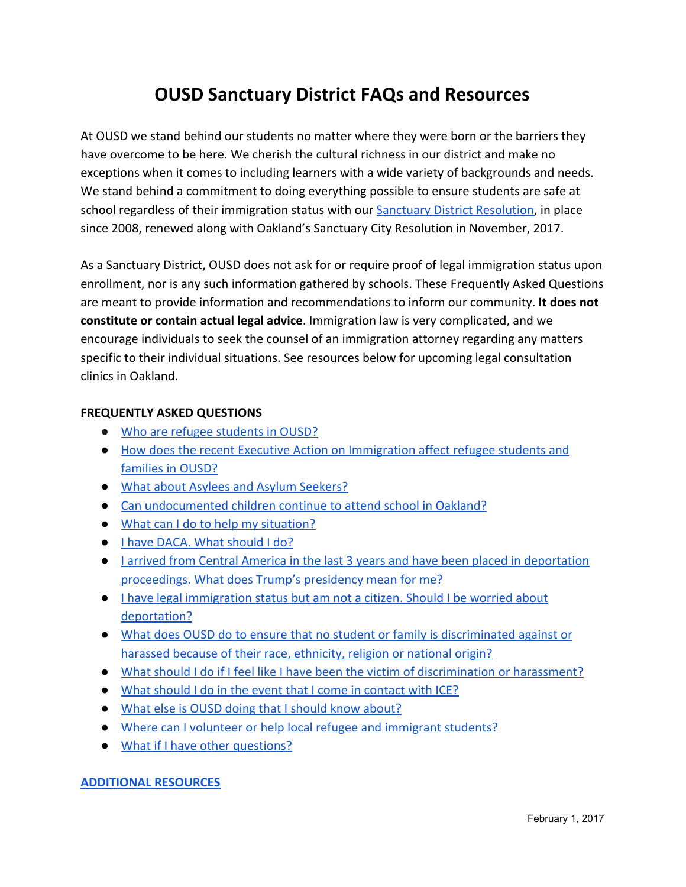# **OUSD Sanctuary District FAQs and Resources**

At OUSD we stand behind our students no matter where they were born or the barriers they have overcome to be here. We cherish the cultural richness in our district and make no exceptions when it comes to including learners with a wide variety of backgrounds and needs. We stand behind a commitment to doing everything possible to ensure students are safe at school regardless of their immigration status with our [Sanctuary District Resolution,](https://drive.google.com/file/d/0B8A8X8ktDxQkcEJmSXliYWdqdDg/view) in place since 2008, renewed along with Oakland's Sanctuary City Resolution in November, 2017.

As a Sanctuary District, OUSD does not ask for or require proof of legal immigration status upon enrollment, nor is any such information gathered by schools. These Frequently Asked Questions are meant to provide information and recommendations to inform our community. **It does not constitute or contain actual legal advice**. Immigration law is very complicated, and we encourage individuals to seek the counsel of an immigration attorney regarding any matters specific to their individual situations. See resources below for upcoming legal consultation clinics in Oakland.

#### **FREQUENTLY ASKED QUESTIONS**

- [Who are refugee students in OUSD?](#page-1-0)
- [How does the recent Executive Action on Immigration affect refugee students and](#page-1-1) [families in OUSD?](#page-1-1)
- [What about Asylees and Asylum Seekers?](#page-2-0)
- [Can undocumented children continue to attend school in Oakland?](#page-2-1)
- [What can I do to help my situation?](#page-2-2)
- [I have DACA. What should I do?](#page-2-3)
- [I arrived from Central America in the last 3 years and have been placed in deportation](#page-2-4) [proceedings. What does Trump's presidency mean for me?](#page-2-4)
- [I have legal immigration status but am not a citizen. Should I be worried about](#page-3-0) [deportation?](#page-3-0)
- [What does OUSD do to ensure that no student or family is discriminated against or](#page-3-1) [harassed because of their race, ethnicity, religion or national origin?](#page-3-1)
- [What should I do if I feel like I have been the victim of discrimination or harassment?](#page-3-2)
- [What should I do in the event that I come in contact with ICE?](#page-3-3)
- [What else is OUSD doing that I should know about?](#page-4-0)
- [Where can I volunteer or help local refugee and immigrant students?](#page-4-1)
- What if I have other questions?

#### **ADDITIONAL RESOURCES**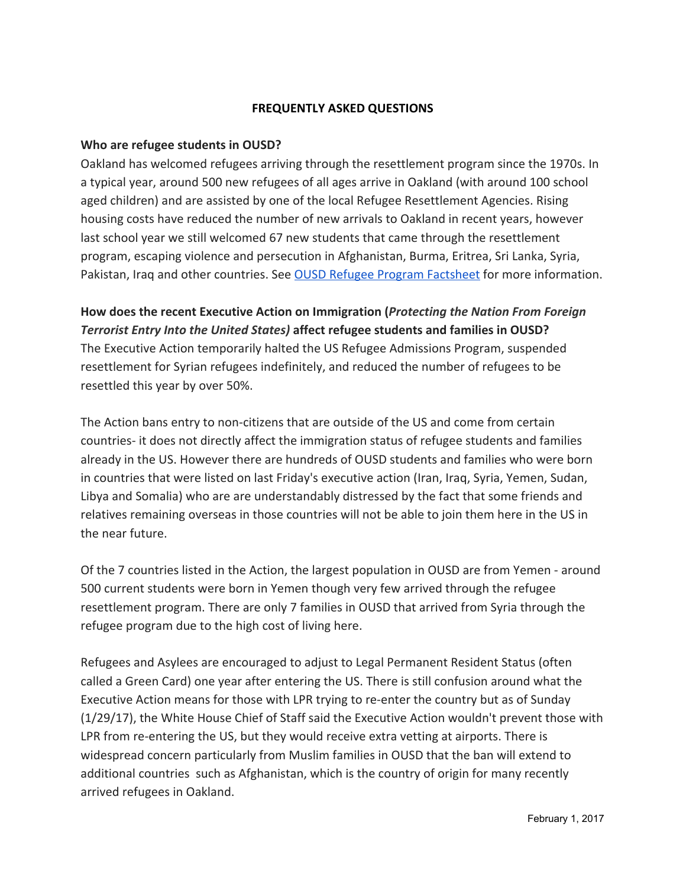# **FREQUENTLY ASKED QUESTIONS**

#### <span id="page-1-0"></span>**Who are refugee students in OUSD?**

Oakland has welcomed refugees arriving through the resettlement program since the 1970s. In a typical year, around 500 new refugees of all ages arrive in Oakland (with around 100 school aged children) and are assisted by one of the local Refugee Resettlement Agencies. Rising housing costs have reduced the number of new arrivals to Oakland in recent years, however last school year we still welcomed 67 new students that came through the resettlement program, escaping violence and persecution in Afghanistan, Burma, Eritrea, Sri Lanka, Syria, Pakistan, Iraq and other countries. See [OUSD Refugee Program Factsheet](https://docs.google.com/document/d/1yJa5tyMTLLjJe_BqtnZBdwabVFPYS7-zMJew3Dmy168/edit?usp=sharing) for more information.

<span id="page-1-1"></span>**How does the recent Executive Action on Immigration (***Protecting the Nation From Foreign Terrorist Entry Into the United States)* **affect refugee students and families in OUSD?** The Executive Action temporarily halted the US Refugee Admissions Program, suspended resettlement for Syrian refugees indefinitely, and reduced the number of refugees to be resettled this year by over 50%.

The Action bans entry to non-citizens that are outside of the US and come from certain countries- it does not directly affect the immigration status of refugee students and families already in the US. However there are hundreds of OUSD students and families who were born in countries that were listed on last Friday's executive action (Iran, Iraq, Syria, Yemen, Sudan, Libya and Somalia) who are are understandably distressed by the fact that some friends and relatives remaining overseas in those countries will not be able to join them here in the US in the near future.

Of the 7 countries listed in the Action, the largest population in OUSD are from Yemen - around 500 current students were born in Yemen though very few arrived through the refugee resettlement program. There are only 7 families in OUSD that arrived from Syria through the refugee program due to the high cost of living here.

Refugees and Asylees are encouraged to adjust to Legal Permanent Resident Status (often called a Green Card) one year after entering the US. There is still confusion around what the Executive Action means for those with LPR trying to re-enter the country but as of Sunday (1/29/17), the White House Chief of Staff said the Executive Action wouldn't prevent those with LPR from re-entering the US, but they would receive extra vetting at airports. There is widespread concern particularly from Muslim families in OUSD that the ban will extend to additional countries such as Afghanistan, which is the country of origin for many recently arrived refugees in Oakland.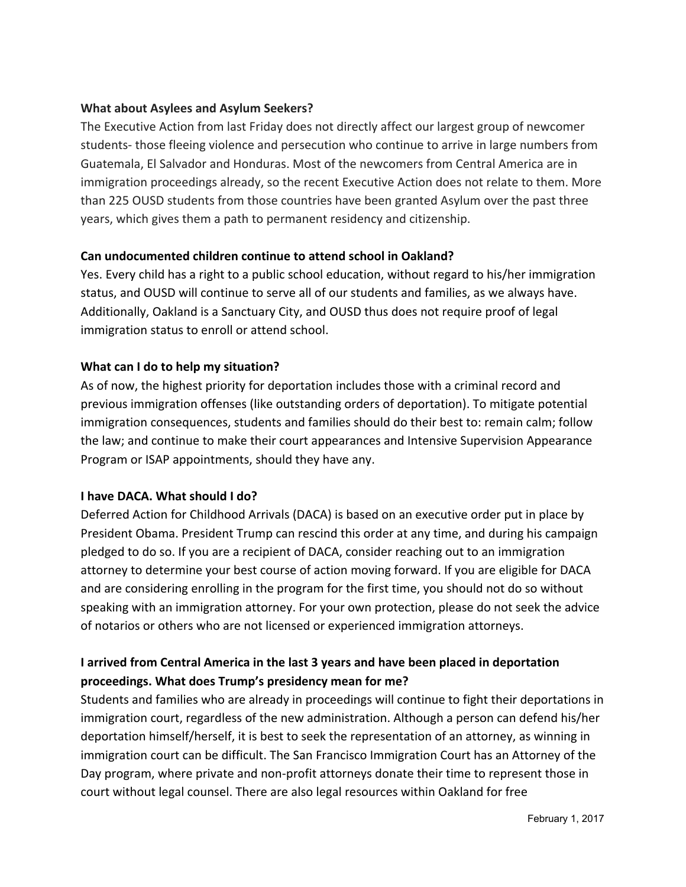# <span id="page-2-0"></span>**What about Asylees and Asylum Seekers?**

The Executive Action from last Friday does not directly affect our largest group of newcomer students- those fleeing violence and persecution who continue to arrive in large numbers from Guatemala, El Salvador and Honduras. Most of the newcomers from Central America are in immigration proceedings already, so the recent Executive Action does not relate to them. More than 225 OUSD students from those countries have been granted Asylum over the past three years, which gives them a path to permanent residency and citizenship.

# <span id="page-2-1"></span>**Can undocumented children continue to attend school in Oakland?**

Yes. Every child has a right to a public school education, without regard to his/her immigration status, and OUSD will continue to serve all of our students and families, as we always have. Additionally, Oakland is a Sanctuary City, and OUSD thus does not require proof of legal immigration status to enroll or attend school.

# <span id="page-2-2"></span>**What can I do to help my situation?**

As of now, the highest priority for deportation includes those with a criminal record and previous immigration offenses (like outstanding orders of deportation). To mitigate potential immigration consequences, students and families should do their best to: remain calm; follow the law; and continue to make their court appearances and Intensive Supervision Appearance Program or ISAP appointments, should they have any.

#### <span id="page-2-3"></span>**I have DACA. What should I do?**

Deferred Action for Childhood Arrivals (DACA) is based on an executive order put in place by President Obama. President Trump can rescind this order at any time, and during his campaign pledged to do so. If you are a recipient of DACA, consider reaching out to an immigration attorney to determine your best course of action moving forward. If you are eligible for DACA and are considering enrolling in the program for the first time, you should not do so without speaking with an immigration attorney. For your own protection, please do not seek the advice of notarios or others who are not licensed or experienced immigration attorneys.

# <span id="page-2-4"></span>**I arrived from Central America in the last 3 years and have been placed in deportation proceedings. What does Trump's presidency mean for me?**

Students and families who are already in proceedings will continue to fight their deportations in immigration court, regardless of the new administration. Although a person can defend his/her deportation himself/herself, it is best to seek the representation of an attorney, as winning in immigration court can be difficult. The San Francisco Immigration Court has an Attorney of the Day program, where private and non-profit attorneys donate their time to represent those in court without legal counsel. There are also legal resources within Oakland for free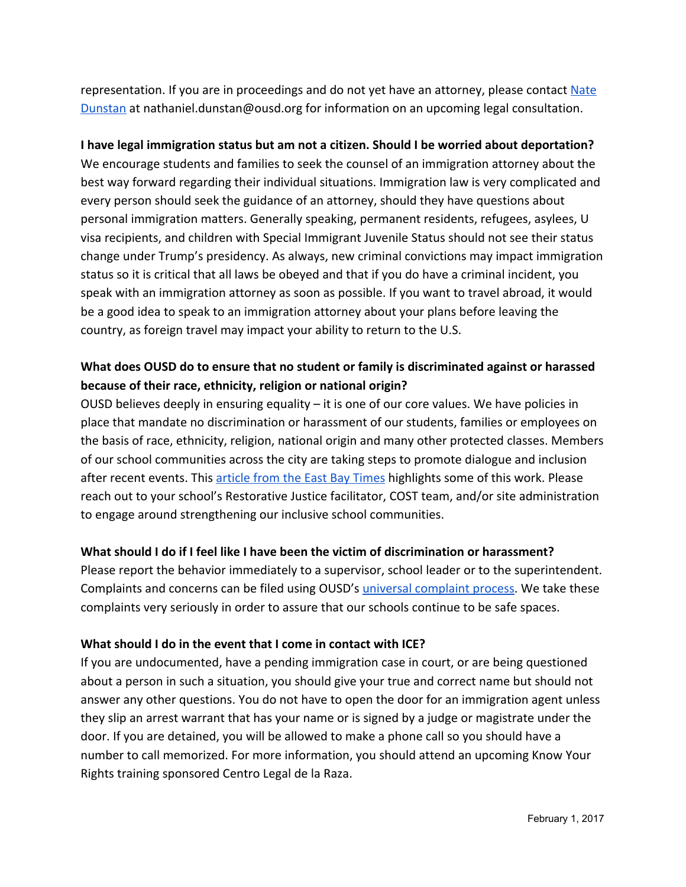representation. If you are in proceedings and do not yet have an attorney, please contact [Nate](mailto:nathaniel.dunstan@ousd.org) [Dunstan](mailto:nathaniel.dunstan@ousd.org) at nathaniel.dunstan@ousd.org for information on an upcoming legal consultation.

# <span id="page-3-0"></span>**I have legal immigration status but am not a citizen. Should I be worried about deportation?**

We encourage students and families to seek the counsel of an immigration attorney about the best way forward regarding their individual situations. Immigration law is very complicated and every person should seek the guidance of an attorney, should they have questions about personal immigration matters. Generally speaking, permanent residents, refugees, asylees, U visa recipients, and children with Special Immigrant Juvenile Status should not see their status change under Trump's presidency. As always, new criminal convictions may impact immigration status so it is critical that all laws be obeyed and that if you do have a criminal incident, you speak with an immigration attorney as soon as possible. If you want to travel abroad, it would be a good idea to speak to an immigration attorney about your plans before leaving the country, as foreign travel may impact your ability to return to the U.S.

# <span id="page-3-1"></span>**What does OUSD do to ensure that no student or family is discriminated against or harassed because of their race, ethnicity, religion or national origin?**

OUSD believes deeply in ensuring equality – it is one of our core values. We have policies in place that mandate no discrimination or harassment of our students, families or employees on the basis of race, ethnicity, religion, national origin and many other protected classes. Members of our school communities across the city are taking steps to promote dialogue and inclusion after recent events. This [article from the East Bay Times](http://www.eastbaytimes.com/2016/11/14/bay-area-schools-try-to-ease-kids-fears-spurred-by-donald-trumps-win/) highlights some of this work. Please reach out to your school's Restorative Justice facilitator, COST team, and/or site administration to engage around strengthening our inclusive school communities.

#### <span id="page-3-2"></span>**What should I do if I feel like I have been the victim of discrimination or harassment?**

Please report the behavior immediately to a supervisor, school leader or to the superintendent. Complaints and concerns can be filed using OUSD's *universal complaint process*. We take these complaints very seriously in order to assure that our schools continue to be safe spaces.

#### <span id="page-3-3"></span>**What should I do in the event that I come in contact with ICE?**

If you are undocumented, have a pending immigration case in court, or are being questioned about a person in such a situation, you should give your true and correct name but should not answer any other questions. You do not have to open the door for an immigration agent unless they slip an arrest warrant that has your name or is signed by a judge or magistrate under the door. If you are detained, you will be allowed to make a phone call so you should have a number to call memorized. For more information, you should attend an upcoming Know Your Rights training sponsored Centro Legal de la Raza.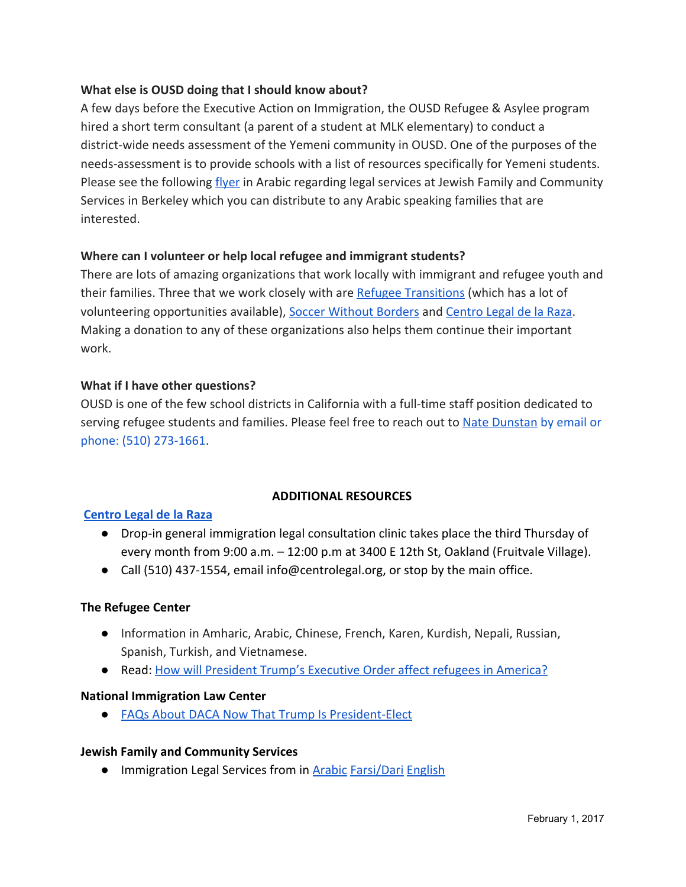# <span id="page-4-0"></span>**What else is OUSD doing that I should know about?**

A few days before the Executive Action on Immigration, the OUSD Refugee & Asylee program hired a short term consultant (a parent of a student at MLK elementary) to conduct a district-wide needs assessment of the Yemeni community in OUSD. One of the purposes of the needs-assessment is to provide schools with a list of resources specifically for Yemeni students. Please see the following *flyer* in Arabic regarding legal services at Jewish Family and Community Services in Berkeley which you can distribute to any Arabic speaking families that are interested.

# <span id="page-4-1"></span>**Where can I volunteer or help local refugee and immigrant students?**

There are lots of amazing organizations that work locally with immigrant and refugee youth and their families. Three that we work closely with are [Refugee Transitions](http://www.reftrans.org/) (which has a lot of volunteering opportunities available), [Soccer Without Borders](http://www.soccerwithoutborders.org/) and [Centro Legal de la Raza.](https://donatenow.networkforgood.org/centrolegaldelaraza) Making a donation to any of these organizations also helps them continue their important work.

# **What if I have other questions?**

OUSD is one of the few school districts in California with a full-time staff position dedicated to serving refugee students and families. Please feel free to reach out to [Nate Dunstan](mailto:nathaniel.dunstan@ousd.org) by email or phone: (510) 273-1661.

#### **ADDITIONAL RESOURCES**

#### **[Centro Legal de la Raza](http://centrolegal.org/get-help/)**

- Drop-in general immigration legal consultation clinic takes place the third Thursday of every month from 9:00 a.m. – 12:00 p.m at 3400 E 12th St, Oakland (Fruitvale Village).
- Call (510) 437-1554, email info@centrolegal.org, or stop by the main office.

#### **The Refugee Center**

- Information in Amharic, Arabic, Chinese, French, Karen, Kurdish, Nepali, Russian, Spanish, Turkish, and Vietnamese.
- Read: [How will President Trump's Executive Order affect refugees in America?](https://therefugeecenter.org/how-will-president-trumps-executive-order-affect-refugees/)

#### **National Immigration Law Center**

● [FAQs About DACA Now That Trump Is President-Elect](https://www.nilc.org/issues/daca/daca-after-trump-q-and-a/)

#### **Jewish Family and Community Services**

● Immigration Legal Services from in [Arabic](https://drive.google.com/open?id=0B5USEvQbsf1neHY0WVdkYjF1RktRVUVjUzNwODdUQVVEeGlZ) [Farsi/Dari](https://drive.google.com/open?id=0B5USEvQbsf1ndnhiamxxOHdFQ09oRU5mZjdJSHU3Y1lqNVIw) [English](https://drive.google.com/open?id=0B5USEvQbsf1nNFJuMWFFRUN6eTAtdHdXWnBLZHdkdk5NWHFV)